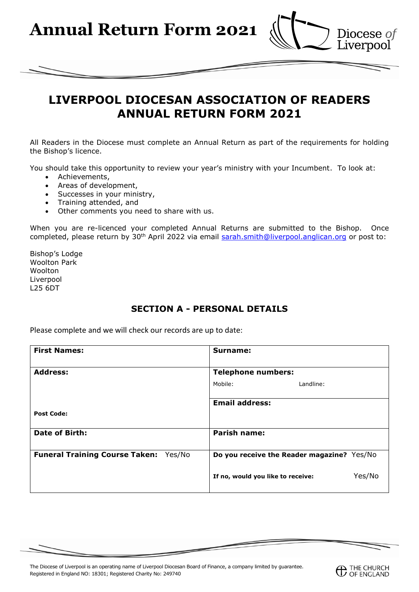**Annual Return Form 2021**



# **LIVERPOOL DIOCESAN ASSOCIATION OF READERS ANNUAL RETURN FORM 2021**

All Readers in the Diocese must complete an Annual Return as part of the requirements for holding the Bishop's licence.

You should take this opportunity to review your year's ministry with your Incumbent. To look at:

- Achievements,
- Areas of development,
- Successes in your ministry,
- Training attended, and
- Other comments you need to share with us.

When you are re-licenced your completed Annual Returns are submitted to the Bishop. Once completed, please return by 30<sup>th</sup> April 2022 via email [sarah.smith@liverpool.anglican.org](mailto:sarah.smith@liverpool.anglican.org) or post to:

Bishop's Lodge Woolton Park **Woolton** Liverpool L25 6DT

# **SECTION A - PERSONAL DETAILS**

Please complete and we will check our records are up to date:

| <b>First Names:</b>                   | Surname:                                    |
|---------------------------------------|---------------------------------------------|
| <b>Address:</b>                       | <b>Telephone numbers:</b>                   |
|                                       | Mobile:<br>Landline:                        |
|                                       | <b>Email address:</b>                       |
| <b>Post Code:</b>                     |                                             |
| Date of Birth:                        | <b>Parish name:</b>                         |
| Funeral Training Course Taken: Yes/No | Do you receive the Reader magazine? Yes/No  |
|                                       | Yes/No<br>If no, would you like to receive: |

The Diocese of Liverpool is an operating name of Liverpool Diocesan Board of Finance, a company limited by guarantee. Registered in England NO: 18301; Registered Charity No: 249740

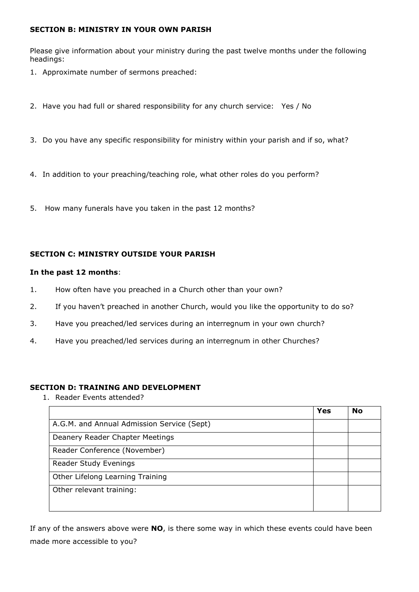# **SECTION B: MINISTRY IN YOUR OWN PARISH**

Please give information about your ministry during the past twelve months under the following headings:

- 1. Approximate number of sermons preached:
- 2. Have you had full or shared responsibility for any church service: Yes / No
- 3. Do you have any specific responsibility for ministry within your parish and if so, what?
- 4. In addition to your preaching/teaching role, what other roles do you perform?
- 5. How many funerals have you taken in the past 12 months?

## **SECTION C: MINISTRY OUTSIDE YOUR PARISH**

### **In the past 12 months**:

- 1. How often have you preached in a Church other than your own?
- 2. If you haven't preached in another Church, would you like the opportunity to do so?
- 3. Have you preached/led services during an interregnum in your own church?
- 4. Have you preached/led services during an interregnum in other Churches?

### **SECTION D: TRAINING AND DEVELOPMENT**

1. Reader Events attended?

|                                            | <b>Yes</b> | <b>No</b> |
|--------------------------------------------|------------|-----------|
| A.G.M. and Annual Admission Service (Sept) |            |           |
| Deanery Reader Chapter Meetings            |            |           |
| Reader Conference (November)               |            |           |
| Reader Study Evenings                      |            |           |
| Other Lifelong Learning Training           |            |           |
| Other relevant training:                   |            |           |
|                                            |            |           |

If any of the answers above were **NO**, is there some way in which these events could have been made more accessible to you?